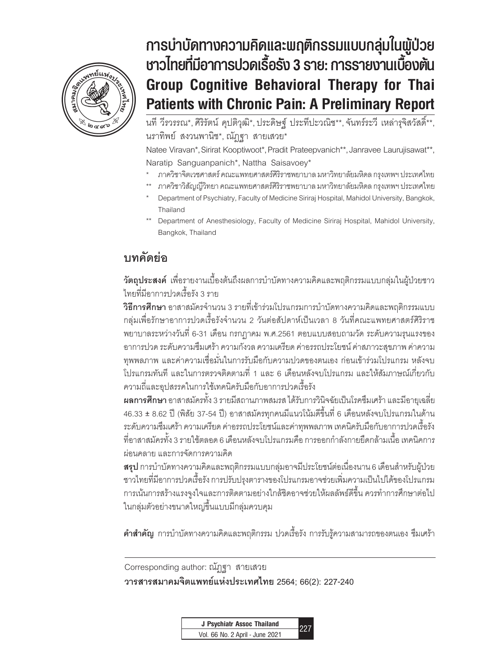

# **Group Cognitive Behavioral Therapy for Thai Patients with Chronic**  Natee Viravan et al. **การบ�ำบัดทางความคิดและพฤติกรรมแบบกลุ่มในผู้ป่วย ชาวไทยที่มีอาการปวดเรื้อรัง 3 ราย: การรายงานเบื้องต้น Group Cognitive Behavioral Therapy for Thai Patients with Chronic Pain: A Preliminary Report**

นที วีรวรรณ\*, ศิริรัตน์ คุปติวุฒิ\*, ประดิษฐ์ ประทีปะวณิช\*\*, จันทร์ระวี เหล่ารุจิสวัสดิ์\*\*, นราทิพย์ สงวนพานิช\*, ณัฎฐา สายเสวย\*

Natee Viravan\*, Sirirat Kooptiwoot\*, Pradit Prateepvanich\*\*, Janravee Laurujisawat\*\*, Naratip Sanguanpanich\*, Nattha Saisavoey\*

- \* ภาควิชาจิตเวชศาสตร์ คณะแพทยศาสตร์ศิริราชพยาบาล มหาวิทยาลัยมหิดล กรุงเทพฯ ประเทศไทย
- \*\* ภาควิชาวิสัญญีวิทยา คณะแพทยศาสตร์ศิริราชพยาบาล มหาวิทยาลัยมหิดล กรุงเทพฯ ประเทศไทย
- Department of Psychiatry, Faculty of Medicine Siriraj Hospital, Mahidol University, Bangkok, Thailand
- Department of Anesthesiology, Faculty of Medicine Siriraj Hospital, Mahidol University, Bangkok, Thailand

# **บทคัดย่อ**

**วัตถุประสงค์** เพื่อรายงานเบื้องต้นถึงผลการบำบัดทางความคิดและพฤติกรรมแบบกลุ่มในผู้ป่วยชาว ไทยที่มีอาการปวดเรื้อรัง 3 ราย

**วิธีการศึกษา** อาสาสมัครจำนวน 3 รายที่เข้าร่วมโปรแกรมการบำบัดทางความคิดและพฤติกรรมแบบ กลุ่มเพื่อรักษาอาการปวดเรื้อรังจ�ำนวน 2 วันต่อสัปดาห์เป็นเวลา 8 วันที่คณะแพทยศาสตร์ศิริราช พยาบาลระหว่างวันที่ 6-31 เดือน กรกฏาคม พ.ศ.2561 ตอบแบบสอบถามวัด ระดับความรุนแรงของ อาการปวด ระดับความซึมเศร้า ความกังวล ความเครียด ค่าอรรถประโยชน์ ค่าสภาวะสุขภาพ ค่าความ ทุพพลภาพ และค่าความเชื่อมั่นในการรับมือกับความปวดของตนเอง ก่อนเข้าร่วมโปรแกรม หลังจบ โปรแกรมทันที และในการตรวจติดตามที่ 1 และ 6 เดือนหลังจบโปรแกรม และให้สัมภาษณ์เกี่ยวกับ ความถี่และอุปสรรคในการใช้เทคนิครับมือกับอาการปวดเรื้อรัง

**ผลการศึกษา** อาสาสมัครทั้ง 3 รายมีสถานภาพสมรส ได้รับการวินิจฉัยเป็นโรคซึมเศร้า และมีอายุเฉลี่ย 46.33 ± 8.62 ปี (พิสัย 37-54 ปี) อาสาสมัครทุกคนมีแนวโน้มดีขึ้นที่ 6 เดือนหลังจบโปรแกรมในด้าน ระดับความซึมเศร้า ความเครียด ค่าอรรถประโยชน์และค่าทุพพลภาพ เทคนิครับมือกับอาการปวดเรื้อรัง ที่อาสาสมัครทั้ง 3 รายใช้ตลอด 6 เดือนหลังจบโปรแกรมคือ การออกกำลังกายยืดกล้ามเนื้อ เทคนิคการ ผ่อนคลาย และการจัดการความคิด

**สรุป** การบำบัดทางความคิดและพฤติกรรมแบบกลุ่มอาจมีประโยชน์ต่อเนื่องนาน 6 เดือนสำหรับผู้ป่วย ชาวไทยที่มีอาการปวดเรื้อรัง การปรับปรุงตารางของโปรแกรมอาจช่วยเพิ่มความเป็นไปได้ของโปรแกรม การเน้นการสร้างแรงจูงใจและการติดตามอย่างใกล้ชิดอาจช่วยให้ผลลัพธ์ดีขึ้น ควรทำการศึกษาต่อไป ในกลุ่มตัวอย่างขนาดใหญ่ขึ้นแบบมีกลุ่มควบคุม

**คำสำคัญ** การบำบัดทางความคิดและพฤติกรรม ปวดเรื้อรัง การรับรู้ความสามารถของตนเอง ซึมเศร้า

Corresponding author: ณัฎฐา สายเสวย **วารสารสมาคมจิตแพทย์แห่งประเทศไทย 2564; 66(2): 227-240**

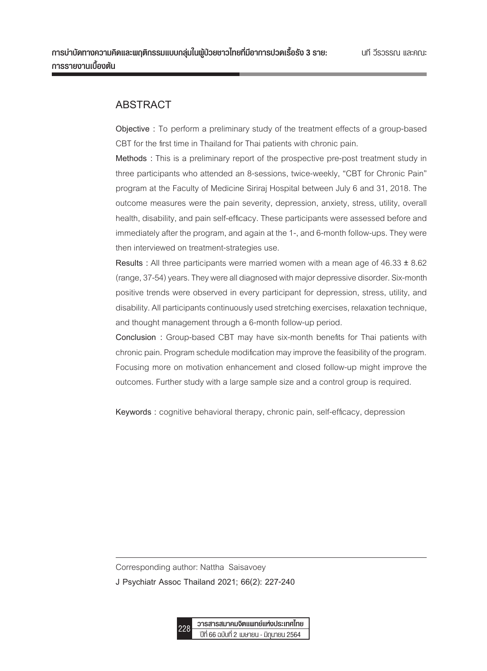# **ABSTRACT**

**Objective :** To perform a preliminary study of the treatment effects of a group-based CBT for the first time in Thailand for Thai patients with chronic pain.

**Methods :** This is a preliminary report of the prospective pre-post treatment study in three participants who attended an 8-sessions, twice-weekly, "CBT for Chronic Pain" program at the Faculty of Medicine Siriraj Hospital between July 6 and 31, 2018. The outcome measures were the pain severity, depression, anxiety, stress, utility, overall health, disability, and pain self-efficacy. These participants were assessed before and immediately after the program, and again at the 1-, and 6-month follow-ups. They were then interviewed on treatment-strategies use.

**Results :** All three participants were married women with a mean age of 46.33 ± 8.62 (range, 37-54) years. They were all diagnosed with major depressive disorder. Six-month positive trends were observed in every participant for depression, stress, utility, and disability. All participants continuously used stretching exercises, relaxation technique, and thought management through a 6-month follow-up period.

**Conclusion :** Group-based CBT may have six-month benefits for Thai patients with chronic pain. Program schedule modification may improve the feasibility of the program. Focusing more on motivation enhancement and closed follow-up might improve the outcomes. Further study with a large sample size and a control group is required.

**Keywords :** cognitive behavioral therapy, chronic pain, self-efficacy, depression

Corresponding author: Nattha Saisavoey

**J Psychiatr Assoc Thailand 2021; 66(2): 227-240**

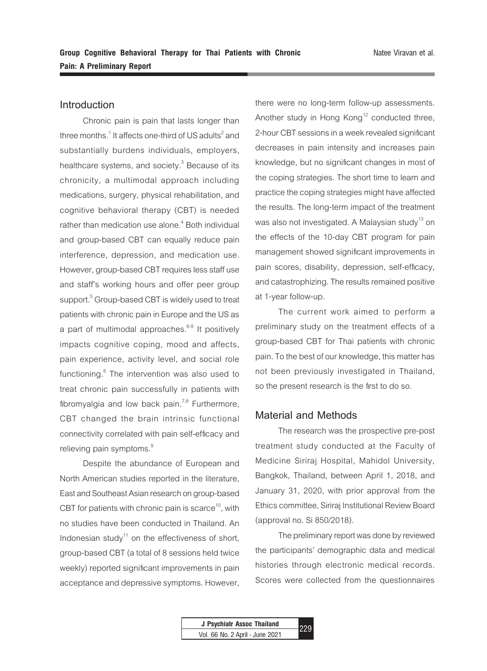# **Introduction**

Chronic pain is pain that lasts longer than three months. $^1$  It affects one-third of US adults $^2$  and substantially burdens individuals, employers, healthcare systems, and society. $^3$  Because of its chronicity, a multimodal approach including medications, surgery, physical rehabilitation, and cognitive behavioral therapy (CBT) is needed rather than medication use alone. $4$  Both individual and group-based CBT can equally reduce pain interference, depression, and medication use. However, group-based CBT requires less staff use and staff's working hours and offer peer group  ${\sf support.}^5$  Group-based CBT is widely used to treat patients with chronic pain in Europe and the US as a part of multimodal approaches. $6-9$  It positively impacts cognitive coping, mood and affects, pain experience, activity level, and social role functioning.<sup>6</sup> The intervention was also used to treat chronic pain successfully in patients with fibromyalgia and low back pain.<sup>7,8</sup> Furthermore, CBT changed the brain intrinsic functional connectivity correlated with pain self-efficacy and relieving pain symptoms.<sup>9</sup>

Despite the abundance of European and North American studies reported in the literature, East and Southeast Asian research on group-based CBT for patients with chronic pain is scarce<sup>10</sup>, with no studies have been conducted in Thailand. An Indonesian study<sup>11</sup> on the effectiveness of short, group-based CBT (a total of 8 sessions held twice weekly) reported significant improvements in pain acceptance and depressive symptoms. However,

there were no long-term follow-up assessments. Another study in Hong  $Kong<sup>12</sup>$  conducted three, 2-hour CBT sessions in a week revealed significant decreases in pain intensity and increases pain knowledge, but no significant changes in most of the coping strategies. The short time to learn and practice the coping strategies might have affected the results. The long-term impact of the treatment was also not investigated. A Malaysian study<sup>13</sup> on the effects of the 10-day CBT program for pain management showed significant improvements in pain scores, disability, depression, self-efficacy, and catastrophizing. The results remained positive at 1-year follow-up.

The current work aimed to perform a preliminary study on the treatment effects of a group-based CBT for Thai patients with chronic pain. To the best of our knowledge, this matter has not been previously investigated in Thailand, so the present research is the first to do so.

## **Material and Methods**

The research was the prospective pre-post treatment study conducted at the Faculty of Medicine Siriraj Hospital, Mahidol University, Bangkok, Thailand, between April 1, 2018, and January 31, 2020, with prior approval from the Ethics committee, Siriraj Institutional Review Board (approval no. Si 850/2018).

The preliminary report was done by reviewed the participants' demographic data and medical histories through electronic medical records. Scores were collected from the questionnaires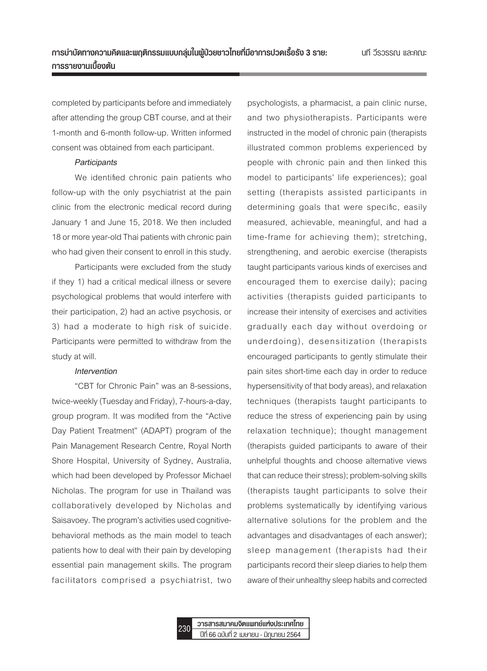completed by participants before and immediately after attending the group CBT course, and at their 1-month and 6-month follow-up. Written informed consent was obtained from each participant.

#### *Participants*

We identified chronic pain patients who follow-up with the only psychiatrist at the pain clinic from the electronic medical record during January 1 and June 15, 2018. We then included 18 or more year-old Thai patients with chronic pain who had given their consent to enroll in this study.

Participants were excluded from the study if they 1) had a critical medical illness or severe psychological problems that would interfere with their participation, 2) had an active psychosis, or 3) had a moderate to high risk of suicide. Participants were permitted to withdraw from the study at will.

#### *Intervention*

"CBT for Chronic Pain" was an 8-sessions, twice-weekly (Tuesday and Friday), 7-hours-a-day, group program. It was modified from the "Active Day Patient Treatment" (ADAPT) program of the Pain Management Research Centre, Royal North Shore Hospital, University of Sydney, Australia, which had been developed by Professor Michael Nicholas. The program for use in Thailand was collaboratively developed by Nicholas and Saisavoey. The program's activities used cognitivebehavioral methods as the main model to teach patients how to deal with their pain by developing essential pain management skills. The program facilitators comprised a psychiatrist, two psychologists, a pharmacist, a pain clinic nurse, and two physiotherapists. Participants were instructed in the model of chronic pain (therapists illustrated common problems experienced by people with chronic pain and then linked this model to participants' life experiences); goal setting (therapists assisted participants in determining goals that were specific, easily measured, achievable, meaningful, and had a time-frame for achieving them); stretching, strengthening, and aerobic exercise (therapists taught participants various kinds of exercises and encouraged them to exercise daily); pacing activities (therapists guided participants to increase their intensity of exercises and activities gradually each day without overdoing or underdoing), desensitization (therapists encouraged participants to gently stimulate their pain sites short-time each day in order to reduce hypersensitivity of that body areas), and relaxation techniques (therapists taught participants to reduce the stress of experiencing pain by using relaxation technique); thought management (therapists guided participants to aware of their unhelpful thoughts and choose alternative views that can reduce their stress); problem-solving skills (therapists taught participants to solve their problems systematically by identifying various alternative solutions for the problem and the advantages and disadvantages of each answer); sleep management (therapists had their participants record their sleep diaries to help them aware of their unhealthy sleep habits and corrected

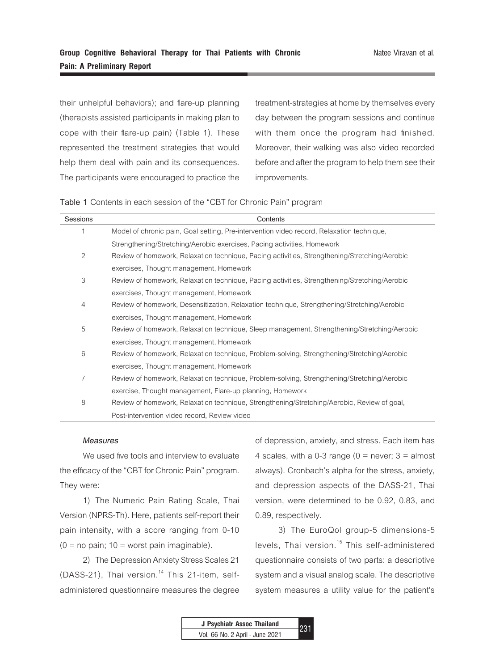their unhelpful behaviors); and flare-up planning (therapists assisted participants in making plan to cope with their flare-up pain) (Table 1). These represented the treatment strategies that would help them deal with pain and its consequences. The participants were encouraged to practice the

treatment-strategies at home by themselves every day between the program sessions and continue with them once the program had finished. Moreover, their walking was also video recorded before and after the program to help them see their improvements.

**Table 1** Contents in each session of the "CBT for Chronic Pain" program

| Sessions | Contents                                                                                      |
|----------|-----------------------------------------------------------------------------------------------|
|          | Model of chronic pain, Goal setting, Pre-intervention video record, Relaxation technique,     |
|          | Strengthening/Stretching/Aerobic exercises, Pacing activities, Homework                       |
| 2        | Review of homework, Relaxation technique, Pacing activities, Strengthening/Stretching/Aerobic |
|          | exercises, Thought management, Homework                                                       |
| 3        | Review of homework, Relaxation technique, Pacing activities, Strengthening/Stretching/Aerobic |
|          | exercises, Thought management, Homework                                                       |
| 4        | Review of homework, Desensitization, Relaxation technique, Strengthening/Stretching/Aerobic   |
|          | exercises, Thought management, Homework                                                       |
| 5        | Review of homework, Relaxation technique, Sleep management, Strengthening/Stretching/Aerobic  |
|          | exercises, Thought management, Homework                                                       |
| 6        | Review of homework, Relaxation technique, Problem-solving, Strengthening/Stretching/Aerobic   |
|          | exercises, Thought management, Homework                                                       |
| 7        | Review of homework, Relaxation technique, Problem-solving, Strengthening/Stretching/Aerobic   |
|          | exercise, Thought management, Flare-up planning, Homework                                     |
| 8        | Review of homework, Relaxation technique, Strengthening/Stretching/Aerobic, Review of goal,   |
|          | Post-intervention video record, Review video                                                  |

#### *Measures*

We used five tools and interview to evaluate the efficacy of the "CBT for Chronic Pain" program. They were:

1) The Numeric Pain Rating Scale, Thai Version (NPRS-Th). Here, patients self-report their pain intensity, with a score ranging from 0-10  $(0 = no \,\text{pain}; 10 = \text{worst} \,\text{pain} \,\text{imaginable}).$ 

2) The Depression Anxiety Stress Scales 21 (DASS-21), Thai version.<sup>14</sup> This 21-item, selfadministered questionnaire measures the degree of depression, anxiety, and stress. Each item has 4 scales, with a 0-3 range ( $0 =$  never;  $3 =$  almost always). Cronbach's alpha for the stress, anxiety, and depression aspects of the DASS-21, Thai version, were determined to be 0.92, 0.83, and 0.89, respectively.

3) The EuroQol group-5 dimensions-5 levels, Thai version.<sup>15</sup> This self-administered questionnaire consists of two parts: a descriptive system and a visual analog scale. The descriptive system measures a utility value for the patient's

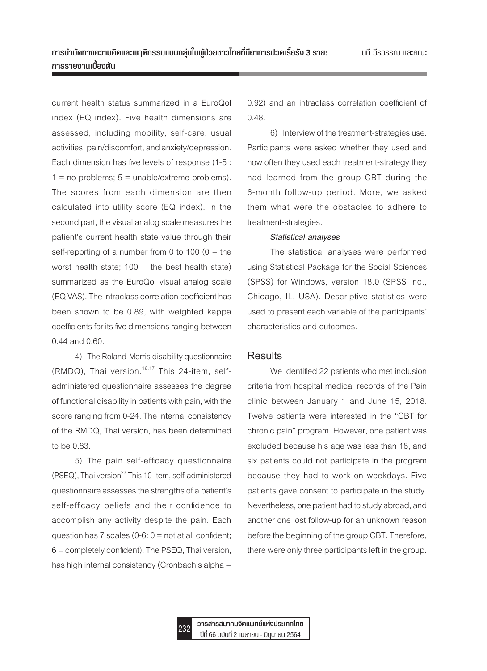current health status summarized in a EuroQol index (EQ index). Five health dimensions are assessed, including mobility, self-care, usual activities, pain/discomfort, and anxiety/depression. Each dimension has five levels of response (1-5 :  $1 = no$  problems;  $5 = \text{unable}/\text{extreme problems}$ . The scores from each dimension are then calculated into utility score (EQ index). In the second part, the visual analog scale measures the patient's current health state value through their self-reporting of a number from 0 to 100  $(0 =$  the worst health state;  $100 =$  the best health state) summarized as the EuroQol visual analog scale (EQ VAS). The intraclass correlation coefficient has been shown to be 0.89, with weighted kappa coefficients for its five dimensions ranging between 0.44 and 0.60.

4) The Roland-Morris disability questionnaire (RMDQ), Thai version.<sup>16,17</sup> This 24-item, selfadministered questionnaire assesses the degree of functional disability in patients with pain, with the score ranging from 0-24. The internal consistency of the RMDQ, Thai version, has been determined to be 0.83.

5) The pain self-efficacy questionnaire  $( PSEQ)$ , Thai version<sup>23</sup> This 10-item, self-administered questionnaire assesses the strengths of a patient's self-efficacy beliefs and their confidence to accomplish any activity despite the pain. Each question has  $7$  scales (0-6:  $0 =$  not at all confident; 6 = completely confident). The PSEQ, Thai version, has high internal consistency (Cronbach's alpha =

0.92) and an intraclass correlation coefficient of 0.48.

6) Interview of the treatment-strategies use. Participants were asked whether they used and how often they used each treatment-strategy they had learned from the group CBT during the 6-month follow-up period. More, we asked them what were the obstacles to adhere to treatment-strategies.

#### *Statistical analyses*

The statistical analyses were performed using Statistical Package for the Social Sciences (SPSS) for Windows, version 18.0 (SPSS Inc., Chicago, IL, USA). Descriptive statistics were used to present each variable of the participants' characteristics and outcomes.

#### **Results**

We identified 22 patients who met inclusion criteria from hospital medical records of the Pain clinic between January 1 and June 15, 2018. Twelve patients were interested in the "CBT for chronic pain" program. However, one patient was excluded because his age was less than 18, and six patients could not participate in the program because they had to work on weekdays. Five patients gave consent to participate in the study. Nevertheless, one patient had to study abroad, and another one lost follow-up for an unknown reason before the beginning of the group CBT. Therefore, there were only three participants left in the group.

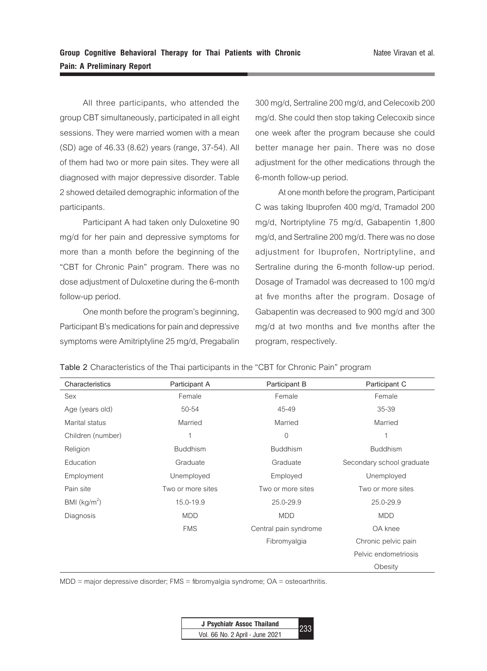All three participants, who attended the group CBT simultaneously, participated in all eight sessions. They were married women with a mean (SD) age of 46.33 (8.62) years (range, 37-54). All of them had two or more pain sites. They were all diagnosed with major depressive disorder. Table 2 showed detailed demographic information of the participants.

Participant A had taken only Duloxetine 90 mg/d for her pain and depressive symptoms for more than a month before the beginning of the "CBT for Chronic Pain" program. There was no dose adjustment of Duloxetine during the 6-month follow-up period.

One month before the program's beginning, Participant B's medications for pain and depressive symptoms were Amitriptyline 25 mg/d, Pregabalin 300 mg/d, Sertraline 200 mg/d, and Celecoxib 200 mg/d. She could then stop taking Celecoxib since one week after the program because she could better manage her pain. There was no dose adjustment for the other medications through the 6-month follow-up period.

At one month before the program, Participant C was taking Ibuprofen 400 mg/d, Tramadol 200 mg/d, Nortriptyline 75 mg/d, Gabapentin 1,800 mg/d, and Sertraline 200 mg/d. There was no dose adjustment for Ibuprofen, Nortriptyline, and Sertraline during the 6-month follow-up period. Dosage of Tramadol was decreased to 100 mg/d at five months after the program. Dosage of Gabapentin was decreased to 900 mg/d and 300 mg/d at two months and five months after the program, respectively.

**Table 2** Characteristics of the Thai participants in the "CBT for Chronic Pain" program

| Characteristics   | Participant A     | Participant B         | Participant C             |
|-------------------|-------------------|-----------------------|---------------------------|
| Sex               | Female            | Female                | Female                    |
| Age (years old)   | 50-54             | 45-49                 | 35-39                     |
| Marital status    | Married           | Married               | Married                   |
| Children (number) | 1                 | 0                     | 1                         |
| Religion          | <b>Buddhism</b>   | <b>Buddhism</b>       | <b>Buddhism</b>           |
| Education         | Graduate          | Graduate              | Secondary school graduate |
| Employment        | Unemployed        | Employed              | Unemployed                |
| Pain site         | Two or more sites | Two or more sites     | Two or more sites         |
| BMI $(kg/m2)$     | 15.0-19.9         | 25.0-29.9             | 25.0-29.9                 |
| Diagnosis         | <b>MDD</b>        | <b>MDD</b>            | <b>MDD</b>                |
|                   | <b>FMS</b>        | Central pain syndrome | OA knee                   |
|                   |                   | Fibromyalgia          | Chronic pelvic pain       |
|                   |                   |                       | Pelvic endometriosis      |
|                   |                   |                       | Obesity                   |

 $MDD$  = major depressive disorder; FMS = fibromyalgia syndrome;  $OA =$  osteoarthritis.

| J Psychiatr Assoc Thailand      | $-233$ |
|---------------------------------|--------|
| Vol. 66 No. 2 April - June 2021 |        |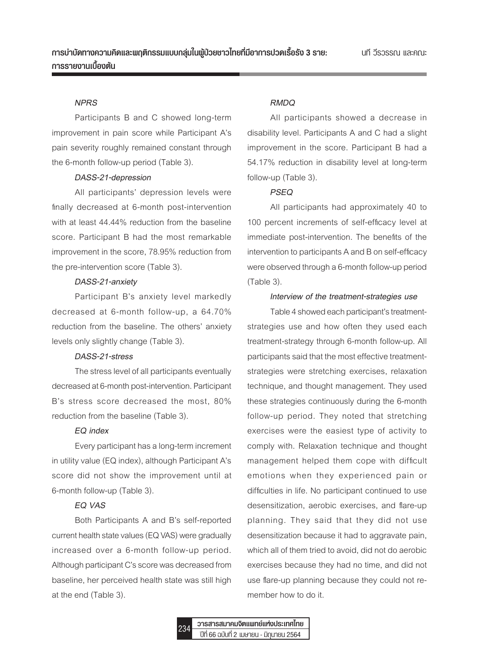#### *NPRS*

Participants B and C showed long-term improvement in pain score while Participant A's pain severity roughly remained constant through the 6-month follow-up period (Table 3).

#### *DASS-21-depression*

All participants' depression levels were finally decreased at 6-month post-intervention with at least 44.44% reduction from the baseline score. Participant B had the most remarkable improvement in the score, 78.95% reduction from the pre-intervention score (Table 3).

#### *DASS-21-anxiety*

Participant B's anxiety level markedly decreased at 6-month follow-up, a 64.70% reduction from the baseline. The others' anxiety levels only slightly change (Table 3).

#### *DASS-21-stress*

The stress level of all participants eventually decreased at 6-month post-intervention. Participant B's stress score decreased the most, 80% reduction from the baseline (Table 3).

#### *EQ index*

Every participant has a long-term increment in utility value (EQ index), although Participant A's score did not show the improvement until at 6-month follow-up (Table 3).

#### *EQ VAS*

Both Participants A and B's self-reported current health state values (EQ VAS) were gradually increased over a 6-month follow-up period. Although participant C's score was decreased from baseline, her perceived health state was still high at the end (Table 3).

#### *RMDQ*

All participants showed a decrease in disability level. Participants A and C had a slight improvement in the score. Participant B had a 54.17% reduction in disability level at long-term follow-up (Table 3).

#### *PSEQ*

All participants had approximately 40 to 100 percent increments of self-efficacy level at immediate post-intervention. The benefits of the intervention to participants A and B on self-efficacy were observed through a 6-month follow-up period (Table 3).

#### *Interview of the treatment-strategies use*

Table 4 showed each participant's treatmentstrategies use and how often they used each treatment-strategy through 6-month follow-up. All participants said that the most effective treatmentstrategies were stretching exercises, relaxation technique, and thought management. They used these strategies continuously during the 6-month follow-up period. They noted that stretching exercises were the easiest type of activity to comply with. Relaxation technique and thought management helped them cope with difficult emotions when they experienced pain or difficulties in life. No participant continued to use desensitization, aerobic exercises, and flare-up planning. They said that they did not use desensitization because it had to aggravate pain, which all of them tried to avoid, did not do aerobic exercises because they had no time, and did not use flare-up planning because they could not remember how to do it.

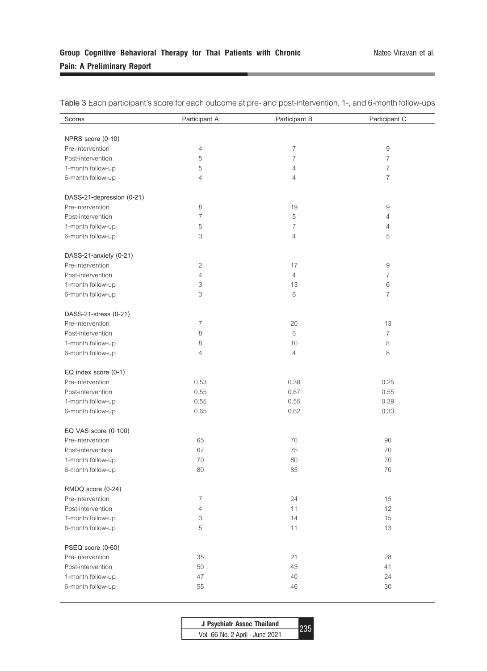# **Group Cognitive Behavioral Therapy for Thai Patients with Chronic Pain: A Preliminary Report**

| Scores                    | Participant A  | Participant B  | Participant C  |
|---------------------------|----------------|----------------|----------------|
|                           |                |                |                |
| NPRS score (0-10)         |                |                |                |
| Pre-intervention          | 4              | $\overline{7}$ | $\hbox{9}$     |
| Post-intervention         | 5              | $\overline{7}$ | $\overline{7}$ |
| 1-month follow-up         | 5              | $\overline{4}$ | $\overline{7}$ |
| 6-month follow-up         | 4              | $\overline{4}$ | $\overline{7}$ |
|                           |                |                |                |
| DASS-21-depression (0-21) |                |                |                |
| Pre-intervention          | 8              | 19             | 9              |
| Post-intervention         | $\overline{7}$ | 5              | 4              |
| 1-month follow-up         | 5              | $\overline{7}$ | 4              |
| 6-month follow-up         | 3              | $\overline{4}$ | 5              |
| DASS-21-anxiety (0-21)    |                |                |                |
| Pre-intervention          | 2              | 17             | 9              |
|                           | 4              |                | $\overline{7}$ |
| Post-intervention         |                | $\overline{4}$ |                |
| 1-month follow-up         | 3              | 13             | 6              |
| 6-month follow-up         | 3              | 6              | $\overline{7}$ |
| DASS-21-stress (0-21)     |                |                |                |
| Pre-intervention          | 7              | 20             | 13             |
| Post-intervention         | 8              | 6              | $\overline{7}$ |
| 1-month follow-up         | 8              | 10             | 8              |
| 6-month follow-up         | 4              | 4              | 8              |
|                           |                |                |                |
| EQ index score (0-1)      |                |                |                |
| Pre-intervention          | 0.53           | 0.38           | 0.25           |
| Post-intervention         | 0.55           | 0.67           | 0.55           |
| 1-month follow-up         | 0.55           | 0.55           | 0.39           |
| 6-month follow-up         | 0.65           | 0.62           | 0.33           |
|                           |                |                |                |
| EQ VAS score (0-100)      |                |                |                |
| Pre-intervention          | 65             | 70             | 90             |
| Post-intervention         | 67             | 75             | 70             |
| 1-month follow-up         | 70             | 80             | 70             |
| 6-month follow-up         | 80             | 85             | 70             |
| RMDQ score (0-24)         |                |                |                |
| Pre-intervention          | $\overline{7}$ | 24             | 15             |
| Post-intervention         | 4              | 11             | 12             |
| 1-month follow-up         | 3              | 14             | 15             |
| 6-month follow-up         | 5              | 11             | 13             |
|                           |                |                |                |
| PSEQ score (0-60)         |                |                |                |
| Pre-intervention          | 35             | 21             | 28             |
| Post-intervention         | 50             | 43             | 41             |
| 1-month follow-up         | 47             | 40             | 24             |
| 6-month follow-up         | 55             | 46             | 30             |

**Table 3** Each participant's score for each outcome at pre- and post-intervention, 1-, and 6-month follow-ups

| J Psychiatr Assoc Thailand      |  |
|---------------------------------|--|
| Vol. 66 No. 2 April - June 2021 |  |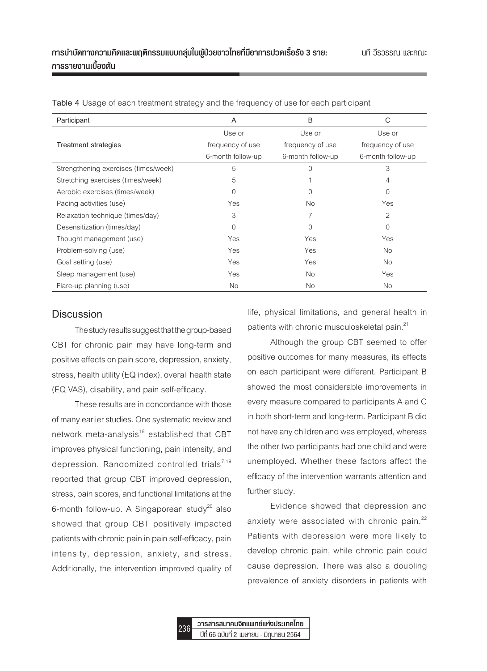| Participant                          | A                 | B                 | C                 |
|--------------------------------------|-------------------|-------------------|-------------------|
|                                      | Use or            | Use or            | Use or            |
| <b>Treatment strategies</b>          | frequency of use  | frequency of use  | frequency of use  |
|                                      | 6-month follow-up | 6-month follow-up | 6-month follow-up |
| Strengthening exercises (times/week) | 5                 | $\Omega$          | 3                 |
| Stretching exercises (times/week)    | 5                 |                   | $\overline{4}$    |
| Aerobic exercises (times/week)       | $\Omega$          | $\Omega$          | $\Omega$          |
| Pacing activities (use)              | Yes               | No.               | Yes               |
| Relaxation technique (times/day)     | 3                 | 7                 | $\mathfrak{D}$    |
| Desensitization (times/day)          | $\Omega$          | $\Omega$          | $\Omega$          |
| Thought management (use)             | Yes               | Yes               | Yes               |
| Problem-solving (use)                | Yes               | Yes               | No.               |
| Goal setting (use)                   | Yes               | Yes               | No.               |
| Sleep management (use)               | Yes               | No.               | Yes               |
| Flare-up planning (use)              | No.               | No.               | No.               |

**Table 4** Usage of each treatment strategy and the frequency of use for each participant

## **Discussion**

The study results suggest that the group-based CBT for chronic pain may have long-term and positive effects on pain score, depression, anxiety, stress, health utility (EQ index), overall health state (EQ VAS), disability, and pain self-efficacy.

These results are in concordance with those of many earlier studies. One systematic review and network meta-analysis $18$  established that CBT improves physical functioning, pain intensity, and depression. Randomized controlled trials<sup>7,19</sup> reported that group CBT improved depression, stress, pain scores, and functional limitations at the 6-month follow-up. A Singaporean study<sup>20</sup> also showed that group CBT positively impacted patients with chronic pain in pain self-efficacy, pain intensity, depression, anxiety, and stress. Additionally, the intervention improved quality of life, physical limitations, and general health in patients with chronic musculoskeletal pain.21

Although the group CBT seemed to offer positive outcomes for many measures, its effects on each participant were different. Participant B showed the most considerable improvements in every measure compared to participants A and C in both short-term and long-term. Participant B did not have any children and was employed, whereas the other two participants had one child and were unemployed. Whether these factors affect the efficacy of the intervention warrants attention and further study.

Evidence showed that depression and anxiety were associated with chronic pain. $22$ Patients with depression were more likely to develop chronic pain, while chronic pain could cause depression. There was also a doubling prevalence of anxiety disorders in patients with

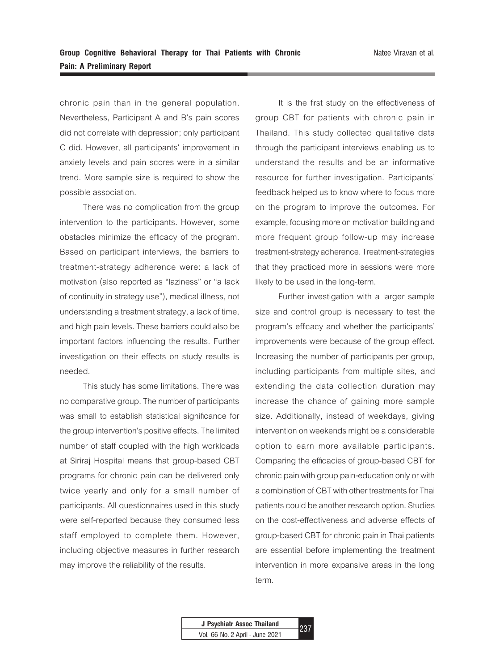chronic pain than in the general population. Nevertheless, Participant A and B's pain scores did not correlate with depression; only participant C did. However, all participants' improvement in anxiety levels and pain scores were in a similar trend. More sample size is required to show the possible association.

There was no complication from the group intervention to the participants. However, some obstacles minimize the efficacy of the program. Based on participant interviews, the barriers to treatment-strategy adherence were: a lack of motivation (also reported as "laziness" or "a lack of continuity in strategy use"), medical illness, not understanding a treatment strategy, a lack of time, and high pain levels. These barriers could also be important factors influencing the results. Further investigation on their effects on study results is needed.

This study has some limitations. There was no comparative group. The number of participants was small to establish statistical significance for the group intervention's positive effects. The limited number of staff coupled with the high workloads at Siriraj Hospital means that group-based CBT programs for chronic pain can be delivered only twice yearly and only for a small number of participants. All questionnaires used in this study were self-reported because they consumed less staff employed to complete them. However, including objective measures in further research may improve the reliability of the results.

It is the first study on the effectiveness of group CBT for patients with chronic pain in Thailand. This study collected qualitative data through the participant interviews enabling us to understand the results and be an informative resource for further investigation. Participants' feedback helped us to know where to focus more on the program to improve the outcomes. For example, focusing more on motivation building and more frequent group follow-up may increase treatment-strategy adherence. Treatment-strategies that they practiced more in sessions were more likely to be used in the long-term.

Further investigation with a larger sample size and control group is necessary to test the program's efficacy and whether the participants' improvements were because of the group effect. Increasing the number of participants per group, including participants from multiple sites, and extending the data collection duration may increase the chance of gaining more sample size. Additionally, instead of weekdays, giving intervention on weekends might be a considerable option to earn more available participants. Comparing the efficacies of group-based CBT for chronic pain with group pain-education only or with a combination of CBT with other treatments for Thai patients could be another research option. Studies on the cost-effectiveness and adverse effects of group-based CBT for chronic pain in Thai patients are essential before implementing the treatment intervention in more expansive areas in the long term.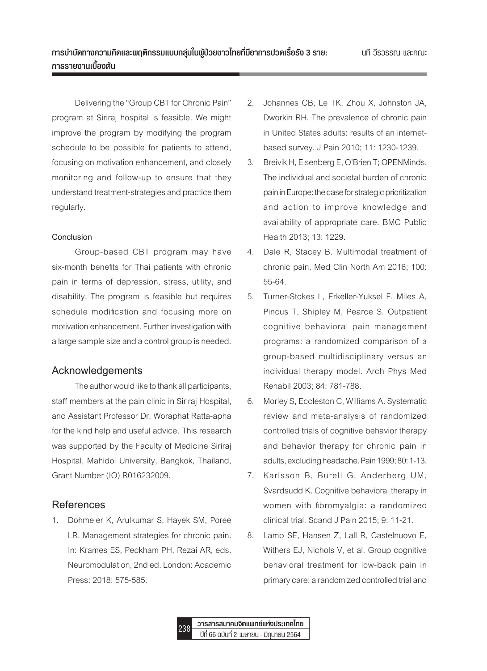Delivering the "Group CBT for Chronic Pain" program at Siriraj hospital is feasible. We might improve the program by modifying the program schedule to be possible for patients to attend, focusing on motivation enhancement, and closely monitoring and follow-up to ensure that they understand treatment-strategies and practice them regularly.

#### **Conclusion**

Group-based CBT program may have six-month benefits for Thai patients with chronic pain in terms of depression, stress, utility, and disability. The program is feasible but requires schedule modification and focusing more on motivation enhancement. Further investigation with a large sample size and a control group is needed.

# **Acknowledgements**

The author would like to thank all participants, staff members at the pain clinic in Siriraj Hospital, and Assistant Professor Dr. Woraphat Ratta-apha for the kind help and useful advice. This research was supported by the Faculty of Medicine Siriraj Hospital, Mahidol University, Bangkok, Thailand, Grant Number (IO) R016232009.

# **References**

1. Dohmeier K, Arulkumar S, Hayek SM, Poree LR. Management strategies for chronic pain. In: Krames ES, Peckham PH, Rezai AR, eds. Neuromodulation, 2nd ed. London: Academic Press: 2018: 575-585.

- 2. Johannes CB, Le TK, Zhou X, Johnston JA, Dworkin RH. The prevalence of chronic pain in United States adults: results of an internetbased survey. J Pain 2010; 11: 1230-1239.
- 3. Breivik H, Eisenberg E, O'Brien T; OPENMinds. The individual and societal burden of chronic pain in Europe: the case for strategic prioritization and action to improve knowledge and availability of appropriate care. BMC Public Health 2013; 13: 1229.
- 4. Dale R, Stacey B. Multimodal treatment of chronic pain. Med Clin North Am 2016; 100: 55-64.
- 5. Turner-Stokes L, Erkeller-Yuksel F, Miles A, Pincus T, Shipley M, Pearce S. Outpatient cognitive behavioral pain management programs: a randomized comparison of a group-based multidisciplinary versus an individual therapy model. Arch Phys Med Rehabil 2003; 84: 781-788.
- 6. Morley S, Eccleston C, Williams A. Systematic review and meta-analysis of randomized controlled trials of cognitive behavior therapy and behavior therapy for chronic pain in adults, excluding headache. Pain 1999; 80: 1-13.
- 7. Karlsson B, Burell G, Anderberg UM, Svardsudd K. Cognitive behavioral therapy in women with fibromyalgia: a randomized clinical trial. Scand J Pain 2015; 9: 11-21.
- 8. Lamb SE, Hansen Z, Lall R, Castelnuovo E, Withers EJ, Nichols V, et al. Group cognitive behavioral treatment for low-back pain in primary care: a randomized controlled trial and

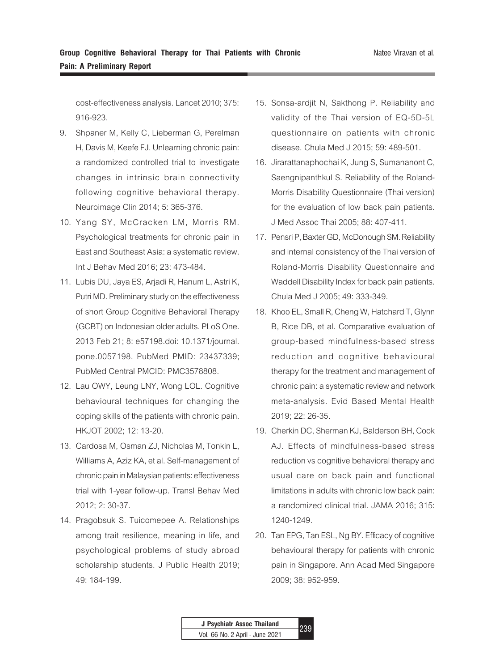cost-effectiveness analysis. Lancet 2010; 375: 916-923.

- 9. Shpaner M, Kelly C, Lieberman G, Perelman H, Davis M, Keefe FJ. Unlearning chronic pain: a randomized controlled trial to investigate changes in intrinsic brain connectivity following cognitive behavioral therapy. Neuroimage Clin 2014; 5: 365-376.
- 10. Yang SY, McCracken LM, Morris RM. Psychological treatments for chronic pain in East and Southeast Asia: a systematic review. Int J Behav Med 2016; 23: 473-484.
- 11. Lubis DU, Jaya ES, Arjadi R, Hanum L, Astri K, Putri MD. Preliminary study on the effectiveness of short Group Cognitive Behavioral Therapy (GCBT) on Indonesian older adults. PLoS One. 2013 Feb 21; 8: e57198.doi: 10.1371/journal. pone.0057198. PubMed PMID: 23437339; PubMed Central PMCID: PMC3578808.
- 12. Lau OWY, Leung LNY, Wong LOL. Cognitive behavioural techniques for changing the coping skills of the patients with chronic pain. HKJOT 2002; 12: 13-20.
- 13. Cardosa M, Osman ZJ, Nicholas M, Tonkin L, Williams A, Aziz KA, et al. Self-management of chronic pain in Malaysian patients: effectiveness trial with 1-year follow-up. Transl Behav Med 2012; 2: 30-37.
- 14. Pragobsuk S. Tuicomepee A. Relationships among trait resilience, meaning in life, and psychological problems of study abroad scholarship students. J Public Health 2019; 49: 184-199.
- 15. Sonsa-ardjit N, Sakthong P. Reliability and validity of the Thai version of EQ-5D-5L questionnaire on patients with chronic disease. Chula Med J 2015; 59: 489-501.
- 16. Jirarattanaphochai K, Jung S, Sumananont C, Saengnipanthkul S. Reliability of the Roland-Morris Disability Questionnaire (Thai version) for the evaluation of low back pain patients. J Med Assoc Thai 2005; 88: 407-411.
- 17. Pensri P, Baxter GD, McDonough SM. Reliability and internal consistency of the Thai version of Roland-Morris Disability Questionnaire and Waddell Disability Index for back pain patients. Chula Med J 2005; 49: 333-349.
- 18. Khoo EL, Small R, Cheng W, Hatchard T, Glynn B, Rice DB, et al. Comparative evaluation of group-based mindfulness-based stress reduction and cognitive behavioural therapy for the treatment and management of chronic pain: a systematic review and network meta-analysis. Evid Based Mental Health 2019; 22: 26-35.
- 19. Cherkin DC, Sherman KJ, Balderson BH, Cook AJ. Effects of mindfulness-based stress reduction vs cognitive behavioral therapy and usual care on back pain and functional limitations in adults with chronic low back pain: a randomized clinical trial. JAMA 2016; 315: 1240-1249.
- 20. Tan EPG, Tan ESL, Ng BY. Efficacy of cognitive behavioural therapy for patients with chronic pain in Singapore. Ann Acad Med Singapore 2009; 38: 952-959.